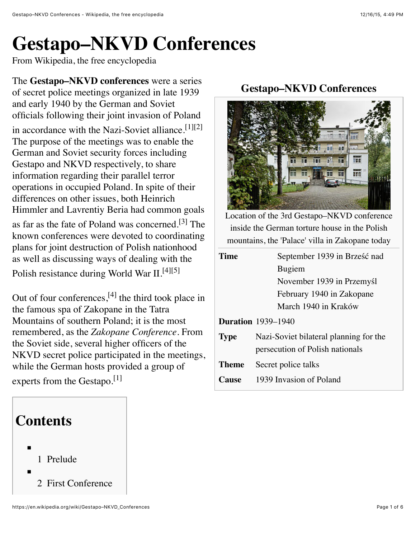## **Gestapo–NKVD Conferences**

From Wikipedia, the free encyclopedia

The **Gestapo–NKVD conferences** were a series of secret police meetings organized in late 1939 and early 1940 by the German and Soviet officials following their joint [invasion of Poland](https://en.wikipedia.org/wiki/Invasion_of_Poland) in accordance with the Nazi-Soviet alliance.<sup>[\[1\]](https://en.wikipedia.org/wiki/Gestapo%E2%80%93NKVD_Conferences#cite_note-museum0-1)[\[2\]](https://en.wikipedia.org/wiki/Gestapo%E2%80%93NKVD_Conferences#cite_note-voskresenie-2)</sup> The purpose of the meetings was to enable the German and Soviet security forces including [Gestapo](https://en.wikipedia.org/wiki/Gestapo) and [NKVD](https://en.wikipedia.org/wiki/NKVD) respectively, to share information regarding their parallel terror operations in occupied Poland. In spite of their differences on other issues, both Heinrich [Himmler and Lavrentiy Beria had commo](https://en.wikipedia.org/wiki/Heinrich_Himmler)n goals as far as the [fate of Poland](https://en.wikipedia.org/wiki/Second_Polish_Republic) was concerned.<sup>[\[3\]](https://en.wikipedia.org/wiki/Gestapo%E2%80%93NKVD_Conferences#cite_note-Rees0-3)</sup> The known conferences were devoted to coordinating plans for joint [destruction of Polish nationhood](https://en.wikipedia.org/wiki/Occupation_of_Poland_(1939-1945)) as well as discussing ways of dealing with the [Polish resistance during World War II.](https://en.wikipedia.org/wiki/Polish_resistance_during_World_War_II)<sup>[\[4\]](https://en.wikipedia.org/wiki/Gestapo%E2%80%93NKVD_Conferences#cite_note-Communistcrimes-4)[\[5\]](https://en.wikipedia.org/wiki/Gestapo%E2%80%93NKVD_Conferences#cite_note-museum1-5)</sup>

Out of four conferences, $^{[4]}$  $^{[4]}$  $^{[4]}$  the third took place in the famous spa of [Zakopane](https://en.wikipedia.org/wiki/Zakopane) in the Tatra [Mountains of southern Poland; it is the m](https://en.wikipedia.org/wiki/Tatra_Mountains)ost remembered, as the *Zakopane Conference*. From the Soviet side, several higher officers of the NKVD secret police participated in the meetings, while the German hosts provided a group of

experts from the Gestapo.<sup>[\[1\]](https://en.wikipedia.org/wiki/Gestapo%E2%80%93NKVD_Conferences#cite_note-museum0-1)</sup>

# **Contents** 1 [Prelude](https://en.wikipedia.org/wiki/Gestapo%E2%80%93NKVD_Conferences#Prelude) 2 [First Conference](https://en.wikipedia.org/wiki/Gestapo%E2%80%93NKVD_Conferences#First_Conference)

#### **Gestapo–NKVD Conferences**



Location of the 3rd Gestapo–NKVD conference inside the German torture house in the Polish mountains, the 'Palace' villa in [Zakopane](https://en.wikipedia.org/wiki/Zakopane) today

| 'l'ime      | September 1939 in Brześć nad           |
|-------------|----------------------------------------|
|             | Bugiem                                 |
|             | November 1939 in Przemyśl              |
|             | February 1940 in Zakopane              |
|             | March 1940 in Kraków                   |
|             | <b>Duration</b> 1939–1940              |
| <b>Type</b> | Nazi-Soviet bilateral planning for the |
|             | persecution of Polish nationals        |
| Theme       | Secret police talks                    |
| `anse       | 1939 Invasion of Poland                |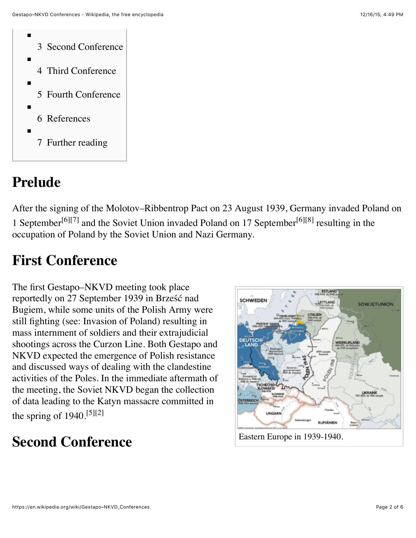

#### **Prelude**

After the signing of the [Molotov–Ribbentrop Pact](https://en.wikipedia.org/wiki/Molotov%E2%80%93Ribbentrop_Pact) on 23 August 1939, [Germany invaded Poland](https://en.wikipedia.org/wiki/German_invasion_of_Poland) on 1 September<sup>[\[6\]](https://en.wikipedia.org/wiki/Gestapo%E2%80%93NKVD_Conferences#cite_note-Zaloga0-6)[\[7\]](https://en.wikipedia.org/wiki/Gestapo%E2%80%93NKVD_Conferences#cite_note-History0-7)</sup> and the [Soviet Union invaded Poland](https://en.wikipedia.org/wiki/Soviet_invasion_of_Poland_(1939)) on 17 September<sup>[6][\[8\]](https://en.wikipedia.org/wiki/Gestapo%E2%80%93NKVD_Conferences#cite_note-Davies0-8)</sup> resulting in the [occupation of Poland](https://en.wikipedia.org/wiki/Occupation_of_Poland_(1939-1945)) by the Soviet Union and Nazi Germany.

#### **First Conference**

The first Gestapo–NKVD meeting took place reportedly on 27 September 1939 in Brześć nad [Bugiem, while some units of the Polish Army w](https://en.wikipedia.org/wiki/Brze%C5%9B%C4%87_nad_Bugiem)ere still fighting (see: [Invasion of Poland\)](https://en.wikipedia.org/wiki/Invasion_of_Poland_(1939)) resulting in mass internment of soldiers and their extrajudicial shootings across the [Curzon Line.](https://en.wikipedia.org/wiki/Curzon_Line#World_War_II) Both Gestapo and NKVD expected the emergence of Polish resistance and discussed ways of dealing with the clandestine activities of the Poles. In the immediate aftermath of the meeting, the Soviet NKVD began the collection of data leading to the [Katyn massacre](https://en.wikipedia.org/wiki/Katyn_massacre) committed in the spring of  $1940$ <sup>[\[5\]](https://en.wikipedia.org/wiki/Gestapo%E2%80%93NKVD_Conferences#cite_note-museum1-5)[\[2\]](https://en.wikipedia.org/wiki/Gestapo%E2%80%93NKVD_Conferences#cite_note-voskresenie-2)</sup>

#### **Second Conference**

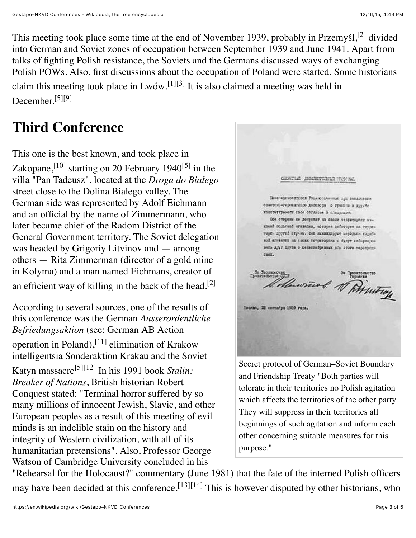This meeting took place some time at the end of November 1939, probably in [Przemy](https://en.wikipedia.org/wiki/Przemy%C5%9Bl)śl,<sup>[\[2\]](https://en.wikipedia.org/wiki/Gestapo%E2%80%93NKVD_Conferences#cite_note-voskresenie-2)</sup> divided into German and Soviet zones of occupation between September 1939 and June 1941. Apart from talks of fighting Polish resistance, the Soviets and the Germans discussed ways of exchanging Polish [POWs.](https://en.wikipedia.org/wiki/POW) Also, first discussions about the occupation of Poland were started. Some historians claim this meeting took place in  $Lw$ ów.<sup>[\[1\]](https://en.wikipedia.org/wiki/Gestapo%E2%80%93NKVD_Conferences#cite_note-museum0-1)[\[3\]](https://en.wikipedia.org/wiki/Gestapo%E2%80%93NKVD_Conferences#cite_note-Rees0-3)</sup> It is also claimed a meeting was held in December.[\[5\]](https://en.wikipedia.org/wiki/Gestapo%E2%80%93NKVD_Conferences#cite_note-museum1-5)[\[9\]](https://en.wikipedia.org/wiki/Gestapo%E2%80%93NKVD_Conferences#cite_note-poland0-9)

### **Third Conference**

This one is the best known, and took place in [Zakopane,](https://en.wikipedia.org/wiki/Zakopane)<sup>[\[10\]](https://en.wikipedia.org/wiki/Gestapo%E2%80%93NKVD_Conferences#cite_note-Warsaw-10)</sup> starting on 20 February 1940<sup>[\[5\]](https://en.wikipedia.org/wiki/Gestapo%E2%80%93NKVD_Conferences#cite_note-museum1-5)</sup> in the villa "Pan Tadeusz", located at the *Droga do Białego* street close to the Dolina Białego valley. The German side was represented by [Adolf Eichmann](https://en.wikipedia.org/wiki/Adolf_Eichmann) and an official by the name of Zimmermann, who later became chief of the [Radom](https://en.wikipedia.org/wiki/Radom) District of the [General Government](https://en.wikipedia.org/wiki/General_Government) territory. The Soviet delegation was headed by Grigoriy Litvinov and — among others — Rita Zimmerman (director of a gold mine in [Kolyma\)](https://en.wikipedia.org/wiki/Kolyma) and a man named Eichmans, creator of an efficient way of killing in the back of the head.<sup>[\[2\]](https://en.wikipedia.org/wiki/Gestapo%E2%80%93NKVD_Conferences#cite_note-voskresenie-2)</sup>

According to several sources, one of the results of this conference was the German *Ausserordentliche Befriedungsaktion* [\(see: German AB Action](https://en.wikipedia.org/wiki/German_AB_Action_operation_in_Poland) operation in Poland), <sup>[\[11\]](https://en.wikipedia.org/wiki/Gestapo%E2%80%93NKVD_Conferences#cite_note-Crimes0-11)</sup> elimination of Krakow intelligentsia [Sonderaktion Krakau](https://en.wikipedia.org/wiki/Sonderaktion_Krakau) and the Soviet [Katyn massacre](https://en.wikipedia.org/wiki/Katyn_massacre)[\[5\]](https://en.wikipedia.org/wiki/Gestapo%E2%80%93NKVD_Conferences#cite_note-museum1-5)[\[12\]](https://en.wikipedia.org/wiki/Gestapo%E2%80%93NKVD_Conferences#cite_note-Conquest0-12) In his 1991 book *Stalin: Breaker of Nations*, British historian Robert [Conquest stated: "Terminal horror suffered b](https://en.wikipedia.org/wiki/Robert_Conquest)y so many millions of innocent Jewish, Slavic, and other European peoples as a result of this meeting of evil minds is an indelible stain on the history and integrity of Western civilization, with all of its humanitarian pretensions". Also, Professor George Watson of [Cambridge University](https://en.wikipedia.org/wiki/Cambridge_University) concluded in his

сальный деалетивных группы, Панесодиновитской Унимерсии-меж при внеделении советсях-герминахо договора о граница и духие конститутных свой согласов в следующих Обе стороны не допротат на своих ведриториях микакой польской игипении, моторое действует на территоре: другой перьям. Они живниками ваторыми подобвой агителии на своих тетриторики в будут виборнојоветь для друга о делегообразных р/в этого мероприн-TAXE. De Monsieur de Ministroy По Леодимочко<br>Принцепьетые ОДГР Moonne, 20 controlpe 1939 rome. [Secret protocol of German–Soviet Boundary](https://en.wikipedia.org/wiki/German%E2%80%93Soviet_Boundary_and_Friendship_Treaty) and Friendship Treaty "Both parties will

tolerate in their territories no Polish agitation which affects the territories of the other party. They will suppress in their territories all beginnings of such agitation and inform each other concerning suitable measures for this purpose."

"Rehearsal for the Holocaust?" commentary (June 1981) that the fate of the interned Polish officers may have been decided at this conference.<sup>[\[13\]](https://en.wikipedia.org/wiki/Gestapo%E2%80%93NKVD_Conferences#cite_note-ibiblio0-13)[\[14\]](https://en.wikipedia.org/wiki/Gestapo%E2%80%93NKVD_Conferences#cite_note-commentary1-14)</sup> This is however disputed by other historians, who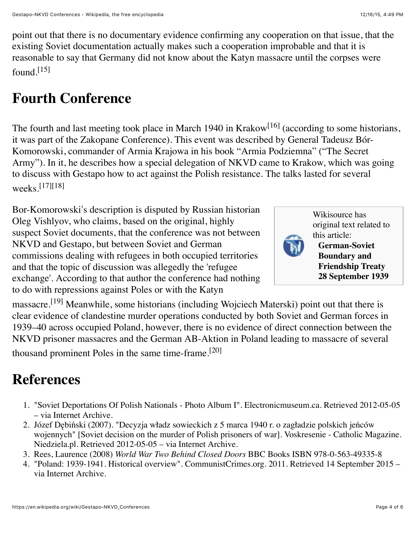point out that there is no documentary evidence confirming any cooperation on that issue, that the existing Soviet documentation actually makes such a cooperation improbable and that it is reasonable to say that Germany did not know about the Katyn massacre until the corpses were found.<sup>[\[15\]](https://en.wikipedia.org/wiki/Gestapo%E2%80%93NKVD_Conferences#cite_note-15)</sup>

#### **Fourth Conference**

The fourth and last meeting took place in March 1940 in [Krakow](https://en.wikipedia.org/wiki/Krakow)<sup>[\[16\]](https://en.wikipedia.org/wiki/Gestapo%E2%80%93NKVD_Conferences#cite_note-Stenton0-16)</sup> (according to some historians, [it was part of the Zakopane Conference\). This event was described by General Tadeusz Bór-](https://en.wikipedia.org/wiki/Tadeusz_B%C3%B3r-Komorowski)Komorowski, commander of [Armia Krajowa](https://en.wikipedia.org/wiki/Armia_Krajowa) in his book "Armia Podziemna" ("The Secret Army"). In it, he describes how a special delegation of NKVD came to Krakow, which was going to discuss with Gestapo how to act against the Polish resistance. The talks lasted for several weeks.[\[17\]](https://en.wikipedia.org/wiki/Gestapo%E2%80%93NKVD_Conferences#cite_note-Bor0-17)[\[18\]](https://en.wikipedia.org/wiki/Gestapo%E2%80%93NKVD_Conferences#cite_note-eesti-18)

Bor-Komorowskiʹs description is disputed by Russian historian Oleg Vishlyov, who claims, based on the original, highly suspect Soviet documents, that the conference was not between NKVD and Gestapo, but between Soviet and German commissions dealing with refugees in both occupied territories and that the topic of discussion was allegedly the 'refugee exchange'. According to that author the conference had nothing to do with repressions against Poles or with the Katyn



[Wikisource](https://en.wikipedia.org/wiki/Wikisource) has original text related to this article:

**German-Soviet Boundary and Friendship Treaty [28 September 1939](https://en.wikisource.org/wiki/German-Soviet_Boundary_and_Friendship_Treaty_28_September_1939)**

massacre.<sup>[\[19\]](https://en.wikipedia.org/wiki/Gestapo%E2%80%93NKVD_Conferences#cite_note-19)</sup> Meanwhile, some historians (including Wojciech Materski) point out that there is clear evidence of clandestine murder operations conducted by both Soviet and German forces in 1939–40 across occupied Poland, however, there is no evidence of direct connection between the [NKVD prisoner massacres](https://en.wikipedia.org/wiki/NKVD_prisoner_massacres) and the [German AB-Aktion in Poland](https://en.wikipedia.org/wiki/German_AB-Aktion_in_Poland) leading to massacre of several thousand prominent Poles in the same time-frame.[\[20\]](https://en.wikipedia.org/wiki/Gestapo%E2%80%93NKVD_Conferences#cite_note-Kalbarczyk-20)

#### **References**

- 1. ["Soviet Deportations Of Polish Nationals Photo Album I".](https://web.archive.org/web/20130324232657/http://www.electronicmuseum.ca/Poland-WW2/soviet_deportations/soviet_deportations_album_1.html) Electronicmuseum.ca. Retrieved 2012-05-05 – via Internet Archive.
- 2. Józef Dębiński (2007). "Decyzja władz sowieckich z 5 marca 1940 r. o zagładzie polskich jeńców [wojennych" \[Soviet decision on the murder of Polish prisoners of war\]. Voskresenie - Catholic Ma](https://web.archive.org/web/20070429083428/http://www.voskresenie.niedziela.pl/artykul.php?lg=pl&nr=200409&dz=z_historii&id_art=00005)gazine. Niedziela.pl. Retrieved 2012-05-05 – via Internet Archive.
- 3. Rees, Laurence (2008) *World War Two Behind Closed Doors* BBC Books [ISBN 978-0-563-49335-8](https://en.wikipedia.org/wiki/Special:BookSources/9780563493358)
- 4. ["Poland: 1939-1941. Historical overview".](https://web.archive.org/web/20110717211000/http://www.communistcrimes.org/en/Database/Poland/Historical-Overview/1939-1941) CommunistCrimes.org. 2011. Retrieved 14 September 2015 via Internet Archive.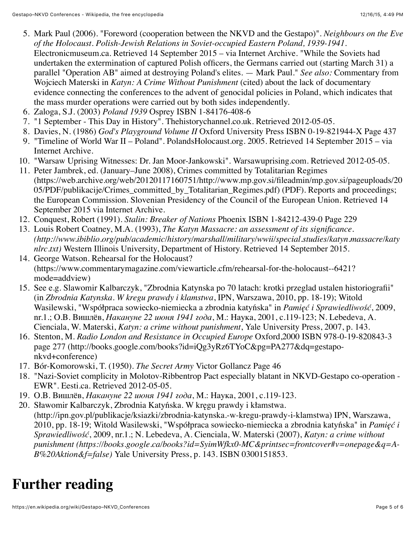- 5. Mark Paul (2006). ["Foreword \(cooperation between the NKVD and the Gestapo\)".](https://web.archive.org/web/20070926214805/http://www.electronicmuseum.ca/Poland-WW2/ethnic_minorities_occupation/jews_foreword.html) *Neighbours on the Eve of the Holocaust. Polish-Jewish Relations in Soviet-occupied Eastern Poland, 1939-1941*. Electronicmuseum.ca. Retrieved 14 September 2015 – via Internet Archive. "While the Soviets had undertaken the extermination of captured Polish officers, the Germans carried out (starting March 31) a parallel "Operation AB" aimed at destroying Poland's elites. — Mark Paul." *See also:* Commentary from Wojciech Materski in *Katyn: A Crime Without Punishment* (cited) about the lack of documentary evidence connecting the conferences to the advent of genocidal policies in Poland, which indicates that the mass murder operations were carried out by both sides independently.
- 6. Zaloga, S.J. (2003) *Poland 1939* Osprey [ISBN 1-84176-408-6](https://en.wikipedia.org/wiki/Special:BookSources/1841764086)
- 7. ["1 September This Day in History".](http://www.thehistorychannel.co.uk/site/this_day_in_history/this_day_September_1.php) Thehistorychannel.co.uk. Retrieved 2012-05-05.
- 8. Davies, N. (1986) *God's Playground Volume II* Oxford University Press [ISBN 0-19-821944-X](https://en.wikipedia.org/wiki/Special:BookSources/019821944X) Page 437
- 9. ["Timeline of World War II Poland".](https://web.archive.org/web/20050818054152/http://www.polandsholocaust.org/1939.html) PolandsHolocaust.org. 2005. Retrieved 14 September 2015 via Internet Archive.
- 10. ["Warsaw Uprising Witnesses: Dr. Jan Moor-Jankowski".](http://www.warsawuprising.com/paper/jankowski1.htm) Warsawuprising.com. Retrieved 2012-05-05.
- 11. Peter Jambrek, ed. (January–June 2008), Crimes committed by Totalitarian Regimes [\(https://web.archive.org/web/20120117160751/http://www.mp.gov.si/fileadmin/mp.gov.si/pageuploads/20](https://web.archive.org/web/20120117160751/http://www.mp.gov.si/fileadmin/mp.gov.si/pageuploads/2005/PDF/publikacije/Crimes_committed_by_Totalitarian_Regimes.pdf) 05/PDF/publikacije/Crimes\_committed\_by\_Totalitarian\_Regimes.pdf) (PDF). Reports and proceedings; the European Commission. Slovenian Presidency of the Council of the European Union. Retrieved 14 September 2015 via Internet Archive.
- 12. Conquest, Robert (1991). *Stalin: Breaker of Nations* Phoenix [ISBN 1-84212-439-0](https://en.wikipedia.org/wiki/Special:BookSources/1842124390) Page 229
- 13. Louis Robert Coatney, M.A. (1993), *The Katyn Massacre: an assessment of its significance. [\(http://www.ibiblio.org/pub/academic/history/marshall/military/wwii/special.studies/katyn.massacre/katy](http://www.ibiblio.org/pub/academic/history/marshall/military/wwii/special.studies/katyn.massacre/katynlrc.txt) nlrc.txt)* Western Illinois University, Department of History. Retrieved 14 September 2015.
- 14. George Watson. Rehearsal for the Holocaust? [\(https://www.commentarymagazine.com/viewarticle.cfm/rehearsal-for-the-holocaust--6421?](https://www.commentarymagazine.com/viewarticle.cfm/rehearsal-for-the-holocaust--6421?mode=addview) mode=addview)
- 15. See e.g. Slawomir Kalbarczyk, "Zbrodnia Katynska po 70 latach: krotki przeglad ustalen historiografii" (in *Zbrodnia Katynska. W kregu prawdy i klamstwa*, IPN, Warszawa, 2010, pp. 18-19); Witold Wasilewski, "Współpraca sowiecko-niemiecka a zbrodnia katyńska" in *Pamięć i Sprawiedliwość*, 2009, nr.1.; О.В. Вишлёв, *Накануне 22 июня 1941 года*, М.: Наука, 2001, с.119-123; N. Lebedeva, A. Cienciala, W. Materski, *Katyn: a crime without punishment*, Yale University Press, 2007, p. 143.
- 16. Stenton, M. *Radio London and Resistance in Occupied Europe* Oxford,2000 [ISBN 978-0-19-820843-3](https://en.wikipedia.org/wiki/Special:BookSources/9780198208433) [page 277 \(http://books.google.com/books?id=iQg3yRz6TYoC&pg=PA277&dq=gestapo](http://books.google.com/books?id=iQg3yRz6TYoC&pg=PA277&dq=gestapo-nkvd+conference)nkvd+conference)
- 17. Bór-Komorowski, T. (1950). *The Secret Army* Victor Gollancz Page 46
- 18. ["Nazi-Soviet complicity in Molotov-Ribbentrop Pact especially blatant in NKVD-Gestapo co-operation -](http://www.eesti.ca/?op=article&articleid=24922) EWR". Eesti.ca. Retrieved 2012-05-05.
- 19. О.В. Вишлёв, *Накануне 22 июня 1941 года*, М.: Наука, 2001, с.119-123.
- 20. Sławomir Kalbarczyk, Zbrodnia Katyńska. W kręgu prawdy i kłamstwa. [\(http://ipn.gov.pl/publikacje/ksiazki/zbrodnia-katynska.-w-kregu-prawdy-i-klamstwa\)](http://ipn.gov.pl/publikacje/ksiazki/zbrodnia-katynska.-w-kregu-prawdy-i-klamstwa) IPN, Warszawa, 2010, pp. 18-19; Witold Wasilewski, "Współpraca sowiecko-niemiecka a zbrodnia katyńska" in *Pamięć i Sprawiedliwość*, 2009, nr.1.; N. Lebedeva, A. Cienciala, W. Materski (2007), *Katyn: a crime without [punishment \(https://books.google.ca/books?id=SyimWfkx0-MC&printsec=frontcover#v=onepage&q=A-](https://books.google.ca/books?id=SyimWfkx0-MC&printsec=frontcover#v=onepage&q=A-B%20Aktion&f=false)B%20Aktion&f=false)* Yale University Press, p. 143. [ISBN 0300151853.](https://en.wikipedia.org/wiki/Special:BookSources/0300151853)

#### **Further reading**